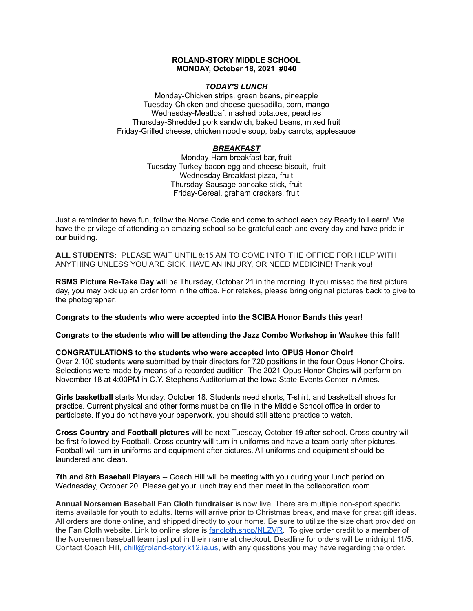## **ROLAND-STORY MIDDLE SCHOOL MONDAY, October 18, 2021 #040**

## *TODAY'S LUNCH*

Monday-Chicken strips, green beans, pineapple Tuesday-Chicken and cheese quesadilla, corn, mango Wednesday-Meatloaf, mashed potatoes, peaches Thursday-Shredded pork sandwich, baked beans, mixed fruit Friday-Grilled cheese, chicken noodle soup, baby carrots, applesauce

## *BREAKFAST*

Monday-Ham breakfast bar, fruit Tuesday-Turkey bacon egg and cheese biscuit, fruit Wednesday-Breakfast pizza, fruit Thursday-Sausage pancake stick, fruit Friday-Cereal, graham crackers, fruit

Just a reminder to have fun, follow the Norse Code and come to school each day Ready to Learn! We have the privilege of attending an amazing school so be grateful each and every day and have pride in our building.

**ALL STUDENTS:** PLEASE WAIT UNTIL 8:15 AM TO COME INTO THE OFFICE FOR HELP WITH ANYTHING UNLESS YOU ARE SICK, HAVE AN INJURY, OR NEED MEDICINE! Thank you!

**RSMS Picture Re-Take Day** will be Thursday, October 21 in the morning. If you missed the first picture day, you may pick up an order form in the office. For retakes, please bring original pictures back to give to the photographer.

## **Congrats to the students who were accepted into the SCIBA Honor Bands this year!**

**Congrats to the students who will be attending the Jazz Combo Workshop in Waukee this fall!**

## **CONGRATULATIONS to the students who were accepted into OPUS Honor Choir!**

Over 2,100 students were submitted by their directors for 720 positions in the four Opus Honor Choirs. Selections were made by means of a recorded audition. The 2021 Opus Honor Choirs will perform on November 18 at 4:00PM in C.Y. Stephens Auditorium at the Iowa State Events Center in Ames.

**Girls basketball** starts Monday, October 18. Students need shorts, T-shirt, and basketball shoes for practice. Current physical and other forms must be on file in the Middle School office in order to participate. If you do not have your paperwork, you should still attend practice to watch.

**Cross Country and Football pictures** will be next Tuesday, October 19 after school. Cross country will be first followed by Football. Cross country will turn in uniforms and have a team party after pictures. Football will turn in uniforms and equipment after pictures. All uniforms and equipment should be laundered and clean.

**7th and 8th Baseball Players** -- Coach Hill will be meeting with you during your lunch period on Wednesday, October 20. Please get your lunch tray and then meet in the collaboration room.

**Annual Norsemen Baseball Fan Cloth fundraiser** is now live. There are multiple non-sport specific items available for youth to adults. Items will arrive prior to Christmas break, and make for great gift ideas. All orders are done online, and shipped directly to your home. Be sure to utilize the size chart provided on the Fan Cloth website. Link to online store is [fancloth.shop/NLZVR.](http://fancloth.shop/NLZVR) To give order credit to a member of the Norsemen baseball team just put in their name at checkout. Deadline for orders will be midnight 11/5. Contact Coach Hill, chill@roland-story.k12.ia.us, with any questions you may have regarding the order.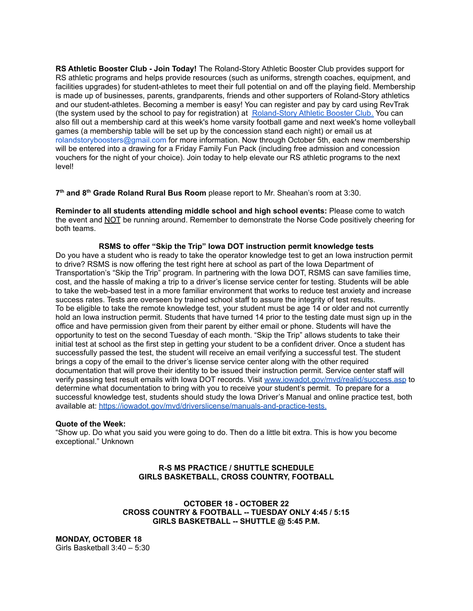**RS Athletic Booster Club - Join Today!** The Roland-Story Athletic Booster Club provides support for RS athletic programs and helps provide resources (such as uniforms, strength coaches, equipment, and facilities upgrades) for student-athletes to meet their full potential on and off the playing field. Membership is made up of businesses, parents, grandparents, friends and other supporters of Roland-Story athletics and our student-athletes. Becoming a member is easy! You can register and pay by card using RevTrak (the system used by the school to pay for registration) at [Roland-Story](https://rolandstory.revtrak.net/Roland-Story-Athletic-Booster-Club/) Athletic Booster Club. You can also fill out a membership card at this week's home varsity football game and next week's home volleyball games (a membership table will be set up by the concession stand each night) or email us at rolandstoryboosters@gmail.com for more information. Now through October 5th, each new membership will be entered into a drawing for a Friday Family Fun Pack (including free admission and concession vouchers for the night of your choice). Join today to help elevate our RS athletic programs to the next level!

**7 th and 8 th Grade Roland Rural Bus Room** please report to Mr. Sheahan's room at 3:30.

**Reminder to all students attending middle school and high school events:** Please come to watch the event and NOT be running around. Remember to demonstrate the Norse Code positively cheering for both teams.

**RSMS to offer "Skip the Trip" Iowa DOT instruction permit knowledge tests** Do you have a student who is ready to take the operator knowledge test to get an Iowa instruction permit to drive? RSMS is now offering the test right here at school as part of the Iowa Department of Transportation's "Skip the Trip" program. In partnering with the Iowa DOT, RSMS can save families time, cost, and the hassle of making a trip to a driver's license service center for testing. Students will be able to take the web-based test in a more familiar environment that works to reduce test anxiety and increase success rates. Tests are overseen by trained school staff to assure the integrity of test results. To be eligible to take the remote knowledge test, your student must be age 14 or older and not currently hold an Iowa instruction permit. Students that have turned 14 prior to the testing date must sign up in the office and have permission given from their parent by either email or phone. Students will have the opportunity to test on the second Tuesday of each month. "Skip the Trip" allows students to take their initial test at school as the first step in getting your student to be a confident driver. Once a student has successfully passed the test, the student will receive an email verifying a successful test. The student brings a copy of the email to the driver's license service center along with the other required documentation that will prove their identity to be issued their instruction permit. Service center staff will verify passing test result emails with Iowa DOT records. Visit [www.iowadot.gov/mvd/realid/success.asp](http://www.iowadot.gov/mvd/realid/success.asp) to determine what documentation to bring with you to receive your student's permit. To prepare for a successful knowledge test, students should study the Iowa Driver's Manual and online practice test, both available at: <https://iowadot.gov/mvd/driverslicense/manuals-and-practice-tests>.

#### **Quote of the Week:**

"Show up. Do what you said you were going to do. Then do a little bit extra. This is how you become exceptional." Unknown

## **R-S MS PRACTICE / SHUTTLE SCHEDULE GIRLS BASKETBALL, CROSS COUNTRY, FOOTBALL**

**OCTOBER 18 - OCTOBER 22 CROSS COUNTRY & FOOTBALL -- TUESDAY ONLY 4:45 / 5:15 GIRLS BASKETBALL -- SHUTTLE @ 5:45 P.M.**

**MONDAY, OCTOBER 18** Girls Basketball 3:40 – 5:30